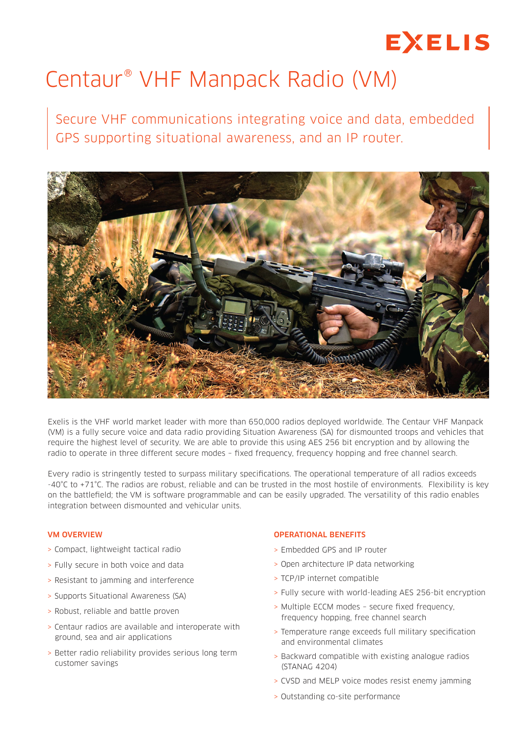# **EXELIS**

# Centaur® VHF Manpack Radio (VM)

Secure VHF communications integrating voice and data, embedded GPS supporting situational awareness, and an IP router.



Exelis is the VHF world market leader with more than 650,000 radios deployed worldwide. The Centaur VHF Manpack (VM) is a fully secure voice and data radio providing Situation Awareness (SA) for dismounted troops and vehicles that require the highest level of security. We are able to provide this using AES 256 bit encryption and by allowing the radio to operate in three different secure modes – fixed frequency, frequency hopping and free channel search.

Every radio is stringently tested to surpass military specifications. The operational temperature of all radios exceeds -40°C to +71°C. The radios are robust, reliable and can be trusted in the most hostile of environments. Flexibility is key on the battlefield; the VM is software programmable and can be easily upgraded. The versatility of this radio enables integration between dismounted and vehicular units.

#### VM OVERVIEW

- > Compact, lightweight tactical radio
- > Fully secure in both voice and data
- > Resistant to jamming and interference
- > Supports Situational Awareness (SA)
- > Robust, reliable and battle proven
- > Centaur radios are available and interoperate with ground, sea and air applications
- > Better radio reliability provides serious long term customer savings

#### OPERATIONAL BENEFITS

- > Embedded GPS and IP router
- > Open architecture IP data networking
- > TCP/IP internet compatible
- > Fully secure with world-leading AES 256-bit encryption
- > Multiple ECCM modes secure fixed frequency, frequency hopping, free channel search
- > Temperature range exceeds full military specification and environmental climates
- > Backward compatible with existing analogue radios (STANAG 4204)
- > CVSD and MELP voice modes resist enemy jamming
- > Outstanding co-site performance